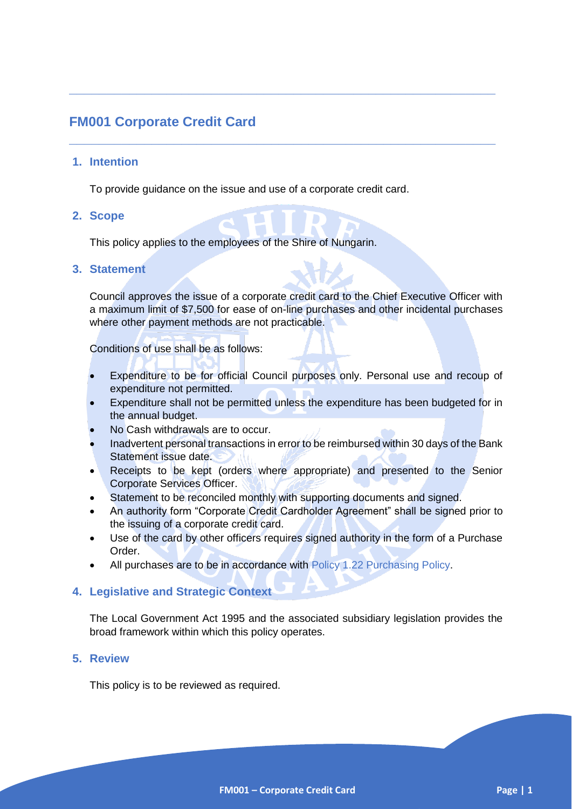# **FM001 Corporate Credit Card**

#### **1. Intention**

To provide guidance on the issue and use of a corporate credit card.

**\_\_\_\_\_\_\_\_\_\_\_\_\_\_\_\_\_\_\_\_\_\_\_\_\_\_\_\_\_\_\_\_\_\_\_\_\_\_\_\_\_\_\_\_\_\_\_\_\_\_\_\_\_\_\_\_\_**

**\_\_\_\_\_\_\_\_\_\_\_\_\_\_\_\_\_\_\_\_\_\_\_\_\_\_\_\_\_\_\_\_\_\_\_\_\_\_\_\_\_\_\_\_\_\_\_\_\_\_\_\_\_\_\_\_\_**

#### **2. Scope**

This policy applies to the employees of the Shire of Nungarin.

#### **3. Statement**

Council approves the issue of a corporate credit card to the Chief Executive Officer with a maximum limit of \$7,500 for ease of on-line purchases and other incidental purchases where other payment methods are not practicable.

Conditions of use shall be as follows:

- Expenditure to be for official Council purposes only. Personal use and recoup of expenditure not permitted.
- Expenditure shall not be permitted unless the expenditure has been budgeted for in the annual budget.
- No Cash withdrawals are to occur.
- Inadvertent personal transactions in error to be reimbursed within 30 days of the Bank Statement issue date.
- Receipts to be kept (orders where appropriate) and presented to the Senior Corporate Services Officer.
- Statement to be reconciled monthly with supporting documents and signed.
- An authority form "Corporate Credit Cardholder Agreement" shall be signed prior to the issuing of a corporate credit card.
- Use of the card by other officers requires signed authority in the form of a Purchase Order.
- All purchases are to be in accordance with Policy 1.22 Purchasing Policy.

#### **4. Legislative and Strategic Context**

The Local Government Act 1995 and the associated subsidiary legislation provides the broad framework within which this policy operates.

### **5. Review**

This policy is to be reviewed as required.